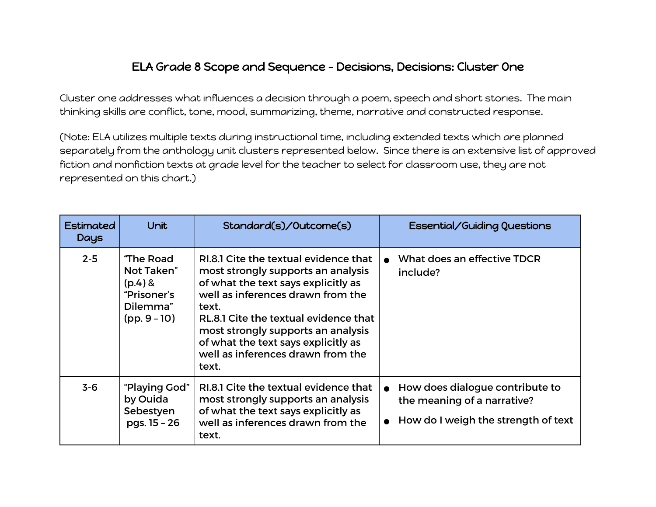## ELA Grade 8 Scope and Sequence - Decisions, Decisions: Cluster One

Cluster one addresses what influences a decision through a poem, speech and short stories. The main thinking skills are conflict, tone, mood, summarizing, theme, narrative and constructed response.

(Note: ELA utilizes multiple texts during instructional time, including extended texts which are planned separately from the anthology unit clusters represented below. Since there is an extensive list of approved fiction and nonfiction texts at grade level for the teacher to select for classroom use, they are not represented on this chart.)

| <b>Estimated</b><br>Days | <b>Unit</b>                                                                       | Standard(s)/Outcome(s)                                                                                                                                                                                                                                                                                                               | Essential/Guiding Questions                                                                           |
|--------------------------|-----------------------------------------------------------------------------------|--------------------------------------------------------------------------------------------------------------------------------------------------------------------------------------------------------------------------------------------------------------------------------------------------------------------------------------|-------------------------------------------------------------------------------------------------------|
| $2 - 5$                  | "The Road<br>Not Taken"<br>$(p.4)$ &<br>"Prisoner's<br>Dilemma"<br>$(pp. 9 - 10)$ | RI.8.1 Cite the textual evidence that<br>most strongly supports an analysis<br>of what the text says explicitly as<br>well as inferences drawn from the<br>text.<br>RL.8.1 Cite the textual evidence that<br>most strongly supports an analysis<br>of what the text says explicitly as<br>well as inferences drawn from the<br>text. | What does an effective TDCR<br>include?                                                               |
| $3 - 6$                  | "Playing God"<br>by Ouida<br>Sebestyen<br>pgs. 15 - 26                            | RI.8.1 Cite the textual evidence that<br>most strongly supports an analysis<br>of what the text says explicitly as<br>well as inferences drawn from the<br>text.                                                                                                                                                                     | How does dialogue contribute to<br>the meaning of a narrative?<br>How do I weigh the strength of text |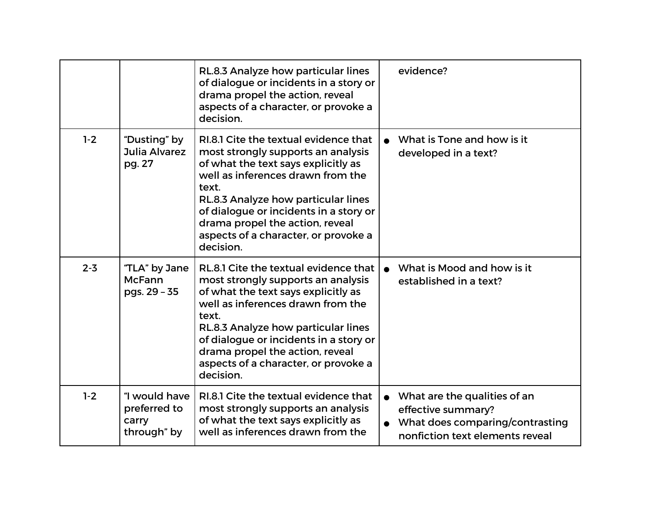|         |                                                       | RL.8.3 Analyze how particular lines<br>of dialogue or incidents in a story or<br>drama propel the action, reveal<br>aspects of a character, or provoke a<br>decision.                                                                                                                                                                     | evidence?                                                                                                                |
|---------|-------------------------------------------------------|-------------------------------------------------------------------------------------------------------------------------------------------------------------------------------------------------------------------------------------------------------------------------------------------------------------------------------------------|--------------------------------------------------------------------------------------------------------------------------|
| $1-2$   | "Dusting" by<br>Julia Alvarez<br>pg. 27               | RI.8.1 Cite the textual evidence that<br>most strongly supports an analysis<br>of what the text says explicitly as<br>well as inferences drawn from the<br>text.<br>RL.8.3 Analyze how particular lines<br>of dialogue or incidents in a story or<br>drama propel the action, reveal<br>aspects of a character, or provoke a<br>decision. | What is Tone and how is it<br>developed in a text?                                                                       |
| $2 - 3$ | "TLA" by Jane<br><b>McFann</b><br>pgs. 29 - 35        | RL.8.1 Cite the textual evidence that<br>most strongly supports an analysis<br>of what the text says explicitly as<br>well as inferences drawn from the<br>text.<br>RL.8.3 Analyze how particular lines<br>of dialogue or incidents in a story or<br>drama propel the action, reveal<br>aspects of a character, or provoke a<br>decision. | What is Mood and how is it<br>established in a text?                                                                     |
| $1-2$   | "I would have<br>preferred to<br>carry<br>through" by | RI.8.1 Cite the textual evidence that<br>most strongly supports an analysis<br>of what the text says explicitly as<br>well as inferences drawn from the                                                                                                                                                                                   | What are the qualities of an<br>effective summary?<br>What does comparing/contrasting<br>nonfiction text elements reveal |